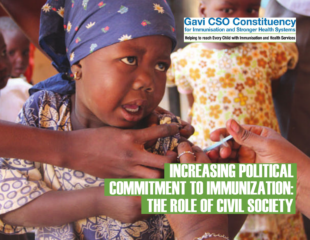## **Gavi CSO Constituency**<br>for Immunisation and Stronger Health Systems

Helping to reach Every Child with Immunisation and Health Services

## THE ROLE OF CIVIL SOCIETY INCREASING POLITICAL COMMITMENT TO IMMUNIZATION: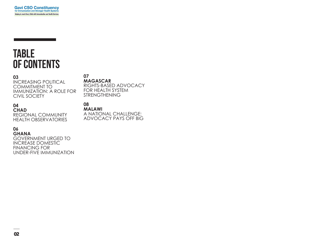### **TABLE OF CONTENTS**

#### **03**

INCREASING POLITICAL COMMITMENT TO IMMUNIZATION: A ROLE FOR CIVIL SOCIETY

**07 MAGASCAR**

RIGHTS-BASED ADVOCACY FOR HEALTH SYSTEM STRENGTHENING

### **04**

**CHAD** REGIONAL COMMUNITY HEALTH OBSERVATORIES

#### **06**

**GHANA** GOVERNMENT URGED TO INCREASE DOMESTIC FINANCING FOR UNDER-FIVE IMMUNIZATION **08 MALAWI** A NATIONAL CHALLENGE: ADVOCACY PAYS OFF BIG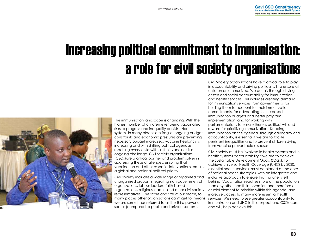## Increasing political commitment to immunisation: a role for civil society organisations



The immunisation landscape is changing. With the highest number of children ever being vaccinated, risks to progress and inequality persists. Health systems in many places are fragile, ongoing budget constraints and economic pressures are preventing necessary budget increased, vaccine hesitancy is increasing and with shifting political agendas reaching every child with all their vaccines is an ongoing challenge. Civil society organizations (CSOs)are a critical partner and problem solver in addressing these challenges, ensuring that vaccination and other essential interventions remains a global and national political priority.

Civil society includes a wide range of organized and unorganized groups, integrating non-governmental organizations, labour leaders, faith-based organizations, religious leaders and other civil society representatives. The scale and size of our reach, to many places other organizations can't get to, means we are sometimes referred to as the third power or sector (compared to public and private sectors).

Civil Society organisations have a critical role to play in accountability and driving political will to ensure all children are immunized. We do this through driving citizen and social accountability for immunization and health services. This includes creating demand for immunization services from governments, for holding them to account for their immunization commitments, for advocating for increased immunization budgets and better program implementation, and for working with parliamentarians to ensure there is political will and reward for prioritizing immunization. Keeping immunization on the agenda, through advocacy and accountability, is essential if we are to tackle persistent inequalities and to prevent children dying from vaccine preventable diseases.

Civil society must be involved in health systems and in health systems accountability if we are to achieve the Sustainable Development Goals (SDGs). To achieve Universal Health Coverage (UHC) by 2030, essential health services, must be placed at the core of national health strategies, with an integrated and inclusive approach to ensure that no one is left behind. Vaccination reaches more of the population than any other health intervention and therefore a crucial element to prioritise within this agenda, and increase access to many more essential health services. We need to see greater accountability for immunization and UHC in this respect and CSOs can, and will, help achieve this.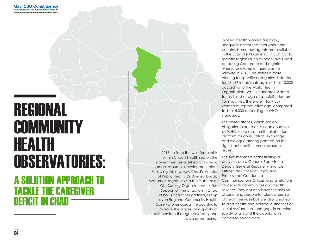# REGIONAL **COMMUNITY** HEALTH OBSERVATORIES:

### A SOLUTION APPROACH TO TACKLE THE CAREGIVER DEFICIT IN CHAD

In 2013, to face the workforce crisis within Chad's health sector, the government established a strategic human resources development plan. Following this strategy, Chad's Minister of Public Health, Dr. Ahmed Djidda Mahamat, together with The Platform of Civil Society Organizations for the Support of Immunization in Chad (POSVIT) and other partners, set up seven Regional Community Health Observatories across the country, to improve the access and quality of health services through advocacy and awareness raising.

Indeed, health workers are highly unequally distributed throughout the country. Numerous agents are available in the capital (N'Djamena) in contrast to specific regions such as near Lake Chad, bordering Cameroon and Nigeria where, for example, there was no midwife in 2013. The deficit is more alerting for specific categories: 1 doctor for 28,466 inhabitants against 1 for 10,000 according to the World Health Organization (WHO) standards. Added to this is a shortage of specialist doctors. For midwives, there are 1 for 7,537 women of reproductive age, compared to 1 for 5,000 according to WHO standards.

The observatories, which are an obligation placed on African countries by WHO, serve as a multi-stakeholder platform for consultation, exchange, and dialogue among partners on the significant health human resources issues.

The five members orchestrating all activities are a General Reporter, a Deputy General Reporter / Finance Officer, an Officer of Ethics and Professional Conduct, a Communications Officer, and a relations officer with communities and health services. They not only have the mission of sensitizing people to take ownership of health services but are also assigned to alert health and political authorities of social dysfunctions and gaps in vaccine supply chain and the population's access to health care.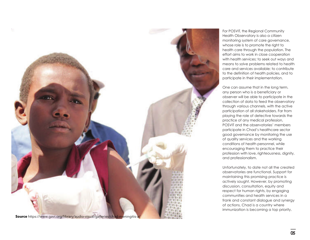

For POSVIT, the Regional Community Health Observatory is also a citizen monitoring system of care governance, whose role is to promote the right to health care through the population. The effort aims to work in close cooperation with health services; to seek out ways and means to solve problems related to health care and services available; to contribute to the definition of health policies, and to participate in their implementation.

One can assume that in the long term, any person who is a beneficiary or observer will be able to participate in the collection of data to feed the observatory through various channels, with the active participation of all stakeholders. Far from playing the role of detective towards the practice of any medical profession, POSVIT and the observatories' members participate in Chad's healthcare sector good governance by monitoring the use of quality services and the working conditions of health personnel, while encouraging them to practice their profession with love, righteousness, dignity, and professionalism.

Unfortunately, to date not all the created observatories are functional. Support for maintaining this promising practice is actively sought. However, by promoting discussion, consultation, equity and respect for human rights, by engaging communities and health services in a frank and constant dialogue and synergy of actions, Chad is a country where immunization is becoming a top priority.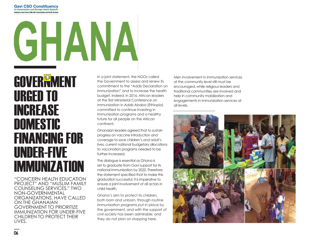## **Gavi CSO Constituency** for Immunisation and Stronger Health Syste Helping to reach Every Child with Immunisation and Health Services GHANA

### **GOVER<sup>®</sup>MENT** URGED TO INCREASE **DOMESTIC** FINANCING FOR UNDER-FIVE IMMUNIZATION

"CONCERN HEALTH EDUCATION PROJECT" AND "MUSLIM FAMILY COUNSELING SERVICES," TWO NON-GOVERNMENTAL ORGANIZATIONS, HAVE CALLED ON THE GHANAIAN GOVERNMENT TO PRIORITIZE IMMUNIZATION FOR UNDER-FIVE CHILDREN TO PROTECT THEIR LIVES.

In a joint statement, the NGOs called the Government to assess and renew its commitment to the "Addis Declaration on Immunization" and to increase the health budget. Indeed, in 2016, African leaders at the first Ministerial Conference on Immunization in Addis Ababa (Ethiopia) committed to continue investing in immunization programs and a healthy future for all people on the African continent.

Ghanaian leaders agreed that to sustain progress on vaccine introduction and coverage to save children's and adult's lives, current national budgetary allocations to vaccination programs needed to be further increased.

The dialogue is essential as Ghana is set to graduate from Gavi support for its national immunization by 2022. Therefore, the statement specified that to make this graduation successful; it is imperative to ensure a joint involvement of all actors in child health.

Ghana's aim to protect its children, both born and unborn, through routine immunization programs put in place by the government, and with the support of civil society has been admirable; and they do not plan on stopping here.

Men involvement in immunization services at the community level still must be encouraged, while religious leaders and traditional communities are involved and help in community mobilization and engagements in immunization services at all levels.

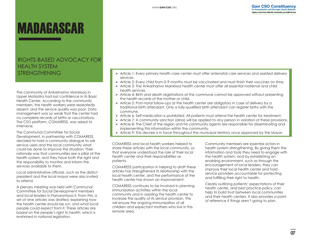## MADAGASCAR

### RIGHTS-BASED ADVOCACY FOR HEALTH SYSTEM STRENGTHENING

The community of Ankarinarivo Manirisoa in Upper Matsiatra had lost confidence in its Basic Health Center. According to the community members, the health workers were repeatedly absent, and the service quality was poor. Data management was so weak that the center had no complete records of births or vaccinations. The CSO platform, COMARESS, was asked to intervene.

The Communal Committee for Social Development, in partnership with COMARESS, decided to hold a community dialogue to ask service users and the local community what could be done to improve the situation. Their rationale was that communities are a pillar of the health system, and they have both the right and the responsibility to monitor and inform the services available to them.

Local administrative officials, such as the district president and the local mayor were also invited to attend.

A plenary meeting was held with Communal Committee for Social Development members and local leaders in Fianarantsoa II. From this, a set of nine articles was drafted, explaining how the health center should be run, and what local people could expect from it. These articles are based on the people's right to health, which is enshrined in national legislation.

- $\triangleright$  Article 1: Every primary health care center must offer antenatal care services and assisted delivery services.
- $\triangleright$  Article 2: Every child from 0–9 months must be vaccinated and must finish their vaccines on time.
- $\triangleright$  Article 3: The Ankarinarivo Manirisoa health center must offer all essential maternal and child health services.
- $\triangleright$  Article 4: Birth and death registrations at the commune cannot be approved without presenting the health records of the mother or child.
- $\triangleright$  Article 5: Post-natal follow-ups at the health center are obligatory in case of delivery by a traditional birth attendant. Only a fully-qualified birth attendant can register births with the commune.
- $\triangleright$  Article 6: Self-medication is prohibited. All patients must attend the health center for treatment.
- $\triangleright$  Article 7: A community sanction (dina) will be applied to any person in violation of these provisions.
- $\triangleright$  Article 8: The Chief of the region and his community agents are responsible for disseminating and implementing this information within the community.
- $\triangleright$  Article 9: This decree is in force throughout the municipal territory once approved by the Mayor.

COMARESS and local health workers helped to share these articles with the local community, so that everyone understood the role of their local health center and their responsibilities as patients.

COMARESS participation in helping to draft these articles has strengthened its relationship with the local health center, and the performance of the health center has shown an improvement.

COMARESS continues to be involved in planning immunization activities within the local community and in assisting the health center to increase the quality of its service provision. This will ensure the ongoing immunization of all children and expectant mothers who live in this remote area.

Community members are essential actors in health system strengthening. By giving them the information and tools they need to engage with the health system, and by establishing an enabling environment, such as through the encouragement of local leaders, they can improve their local health center and hold service providers accountable for protecting and fulfilling their right to health.

Clearly outlining patients' expectations of their health center, and best practice policy, can help to build trust between local communities and their health centers. It also provides a point of reference if things aren't going to plan.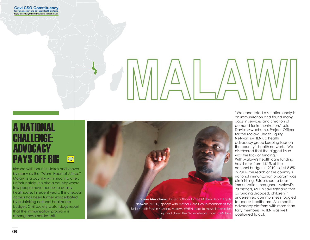### A NATIONAL CHALLENGE: ADVOCACY PAYS OFF BIG  $\boxed{\bigcirc}$

Blessed with bountiful lakes and known by many as the "Warm Heart of Africa," Malawi is a country with much to offer. Unfortunately, it is also a country where few people have access to quality healthcare. In recent years, this unequal access has been further exacerbated by a shrinking national healthcare budget. Civil society watchdogs report that the immunization program is among those hardest-hit.



"We conducted a situation analysis on immunization and found many gaps in services and creation of demand for immunization," said Davies Mwachumu, Project Officer for the Malawi Health Equity Network (MHEN), a health advocacy group keeping tabs on the country's health network. "We discovered that the biggest issue was the lack of funding." With Malawi's health care funding has shrunk from 14.1% of the national budget in 2010 to just 8.8% in 2014, the reach of the country's national immunization program was diminishing. Established to boost immunization throughout Malawi's 28 districts, MHEN saw firsthand that as funding dropped, children in underserved communities struggled to access healthcare. As a health advocacy platform with more than forty members, MHEN was well positioned to act.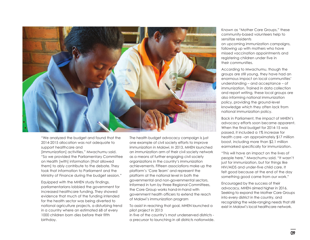

"We analyzed the budget and found that the 2014-2015 allocation was not adequate to support healthcare and [immunization] activities," Mwachumu said. "So we provided the Parliamentary Committee on Health [with] information [that allowed them] to ably contribute to the debate. They took that information to Parliament and the Ministry of Finance during the budget session."

Equipped with the MHEN study findings, parliamentarians lobbied the government for increased healthcare funding. They showed evidence that much of the funding intended for the health sector was being diverted to national agriculture projects, a disturbing trend in a country where an estimated 68 of every 1000 children born dies before their fifth birthday.

The health budget advocacy campaign is just one example of civil society efforts to improve immunization in Malawi. In 2013, MHEN launched an immunization arm of their civil society network as a means of further engaging civil society organizations in the country's immunization achievements. Fifteen associations make up the platform's 'Core Team' and represent the platform at the national level in both the governmental and non-governmental sectors. Informed in turn by three Regional Committees, the Core Group works hand-in-hand with government health officers to extend the reach of Malawi's immunization program

To assist in reaching that goal, MHEN launched a pilot project in 2013

in five of the country's most underserved districts a precursor to launching in all districts nationwide. Known as "Mother Care Groups," these community-based volunteers help to sensitize residents

on upcoming immunization campaigns, following up with mothers who have missed vaccination appointments and registering children under five in their communities.

According to Mwachumu, though the groups are still young, they have had an enormous impact on local communities' understanding – and acceptance – of immunization. Trained in data collection and report writing, these local groups are also informing national immunization policy, providing the ground-level knowledge which they often lack from national immunization policy.

Back in Parliament, the impact of MHEN's advocacy efforts soon became apparent. When the final budget for 2014-15 was passed, it included a 1% increase for health care –an approximately \$17 million boost, including more than \$2.1 million earmarked specifically for immunization.

"This will have an impact on the lives of people here," Mwachumu said. "It wasn't just for immunization, but for things like HIV/AIDS and under-five child care. It felt good because at the end of the day something good came from our work."

Encouraged by the success of their advocacy, MHEN aimed higher in 2016. Seeking to expand the Mother Care Groups into every district in the country, and recognizing the wide-ranging needs that still exist in Malawi's local healthcare network.